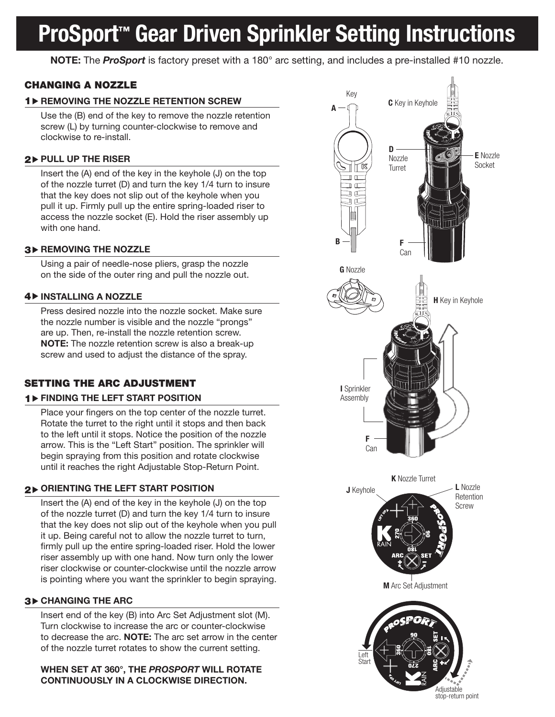# ProSport<sup>™</sup> Gear Driven Sprinkler Setting Instructions

NOTE: The *ProSport* is factory preset with a 180° arc setting, and includes a pre-installed #10 nozzle.

## CHANGING A NOZZLE

### 1 D REMOVING THE NOZZLE RETENTION SCREW

Use the (B) end of the key to remove the nozzle retention screw (L) by turning counter-clockwise to remove and clockwise to re-install.

### $2$  > PULL UP THE RISER

Insert the (A) end of the key in the keyhole (J) on the top of the nozzle turret (D) and turn the key 1/4 turn to insure that the key does not slip out of the keyhole when you pull it up. Firmly pull up the entire spring-loaded riser to access the nozzle socket (E). Hold the riser assembly up with one hand.

### **3▶ REMOVING THE NOZZLE**

Using a pair of needle-nose pliers, grasp the nozzle on the side of the outer ring and pull the nozzle out.

#### **4 DINSTALLING A NOZZLE**

Press desired nozzle into the nozzle socket. Make sure the nozzle number is visible and the nozzle "prongs" are up. Then, re-install the nozzle retention screw. NOTE: The nozzle retention screw is also a break-up screw and used to adjust the distance of the spray.

## SETTING THE ARC ADJUSTMENT

#### 1 FINDING THE LEFT START POSITION

Place your fingers on the top center of the nozzle turret. Rotate the turret to the right until it stops and then back to the left until it stops. Notice the position of the nozzle arrow. This is the "Left Start" position. The sprinkler will begin spraying from this position and rotate clockwise until it reaches the right Adjustable Stop-Return Point.

## $2\,$  ORIENTING THE LEFT START POSITION

Insert the (A) end of the key in the keyhole (J) on the top of the nozzle turret (D) and turn the key 1/4 turn to insure that the key does not slip out of the keyhole when you pull it up. Being careful not to allow the nozzle turret to turn, firmly pull up the entire spring-loaded riser. Hold the lower riser assembly up with one hand. Now turn only the lower riser clockwise or counter-clockwise until the nozzle arrow is pointing where you want the sprinkler to begin spraying.

#### 3 CHANGING THE ARC

Insert end of the key (B) into Arc Set Adjustment slot (M). Turn clockwise to increase the arc or counter-clockwise to decrease the arc. NOTE: The arc set arrow in the center of the nozzle turret rotates to show the current setting.

WHEN SET AT 360°, THE *PROSPORT* WILL ROTATE CONTINUOUSLY IN A CLOCKWISE DIRECTION.